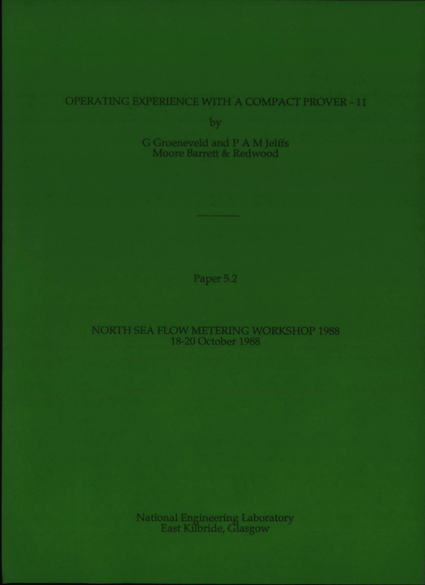# OPERATING EXPERIENCE WITH A COMPACT PROVER - 11

by

G Groeneveld and P A M Jelffs Moore Barrett & Redwood

Paper 5.2

NORTH SEA FLOW METERING WORKSHOP 1988 18-20 October 1988

National Engineering Laboratory<br>East Kilbride, Glasgow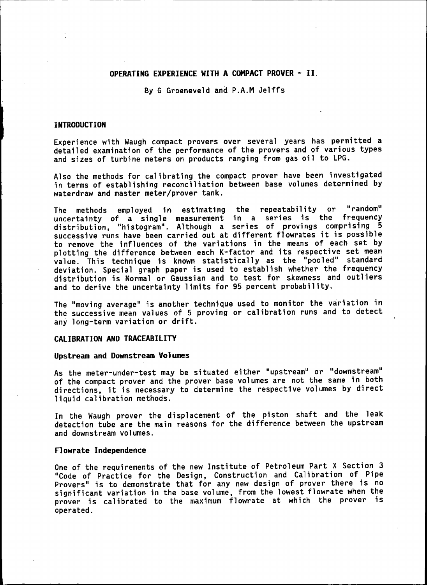## OPERATING EXPERIENCE WITH A COMPACT PROVER - II.

By G Groeneveld and P.A.M Jelffs

## **INTRODUCTION**

Experience with Waugh compact provers over several years has permitted a detailed examination of the performance of the provers and of various types and sizes of turbine meters on products ranging from gas oil to LPG.

Also the methods for calibrating the compact prover have been investigated in terms of establishing reconciliation between base volumes determined by waterdraw and master meter/prover tank.

The methods employed in estimating the repeatability or "random"<br>uncertainty of a single measurement in a series is the frequency uncertainty of a single measurement in a series is the distribution, "histogram". Although a series of provings comprising 5 successive runs have been carried out at different flowrates it is possible to remove the influences of the variations in the means of each set by plotting the difference between each K-factor and its respective set mean value. This technique is known statistically as the "pooled" standard deviation. Special graph paper is used to establish whether the frequency distribution is Normal or Gaussian and to test for skewness and outliers and to derive the uncertainty limits for 95 percent probability.

The "moving average" is another technique used to monitor the variation in the successive mean values of 5 proving or calibration runs and to detect any long-term variation or drift.

## CALIBRATION AND TRACEABILITY

## Upstream and Downstream Volumes

As the meter-under-test may be situated either "upstream" or "downstream" of the compact prover and the prover base volumes are not the same in both directions, it is necessary to determine the respective volumes by direct liquid calibration methods.

In the Waugh prover the displacement of the piston shaft and the leak detection tube are the main reasons for the difference between the upstream and downstream volumes.

### Flowrate Independence

One of the requirements of the new Institute of Petroleum Part X Section 3 "Code of Practice for the Design, Construction and Calibration of Pipe Provers" is to demonstrate that for any new design of prover there is no significant variation in the base volume. from the lowest flowrate when the prover is calibrated to the maximum flowrate at which the prover is operated.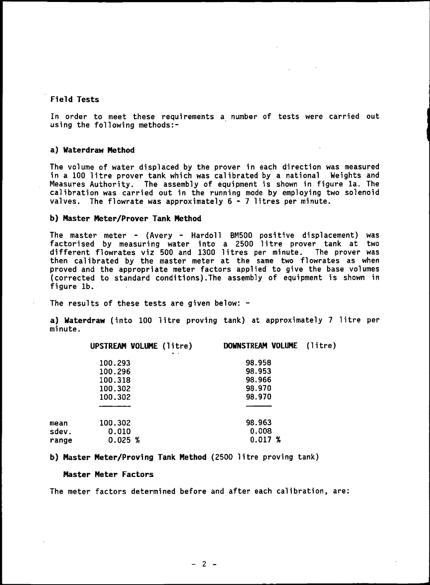## Field Tests

In order to meet these requirements a number of tests were carried out using the following methods:-

## a) Waterdraw Method

The volume of water displaced by the prover in each direction was measured in a 100 litre prover tank which was calibrated by a national Weights and Measures Authority. The assembly of equipment is shown in figure 1a. The calibration was carried out in the running mode by employing two solenoid valves. The flowrate was approximately  $6 - 7$  litres per minute.

## b) Master Meter/Prover Tank Method

The master meter - (Avery - Hardoll BM500 positive displacement) was factorised by measuring water into a 2500 litre prover tank at two different flowrates viz 500 and 1300 1itres per minute. The prover was then calibrated by the master meter at the same two flowrates as when proved and the appropriate meter factors applied to give the base volumes (corrected to standard conditions).The assembly of equipment is shown in figure lb.

The results of these tests are given below: -

a) Waterdraw (into 100 litre proving tank) at approximately 7 litre per minute.

|       | UPSTREAM VOLUME (litre) | DOWNSTREAM VOLUME (litre) |  |
|-------|-------------------------|---------------------------|--|
|       | 100.293                 | 98.958                    |  |
|       | 100.296                 | 98.953                    |  |
|       | 100.318                 | 98.966                    |  |
|       | 100.302                 | 98.970                    |  |
|       | 100.302                 | 98.970                    |  |
|       |                         |                           |  |
| mean  | 100.302                 | 98.963                    |  |
| sdev. | 0.010                   | 0.008                     |  |
| range | 0.025~%                 | 0.017~%                   |  |
|       |                         |                           |  |

## b) Master Meter/Proving Tank Method (2500 litre proving tank)

## Master Meter Factors

The meter factors determined before and after each calibration, are: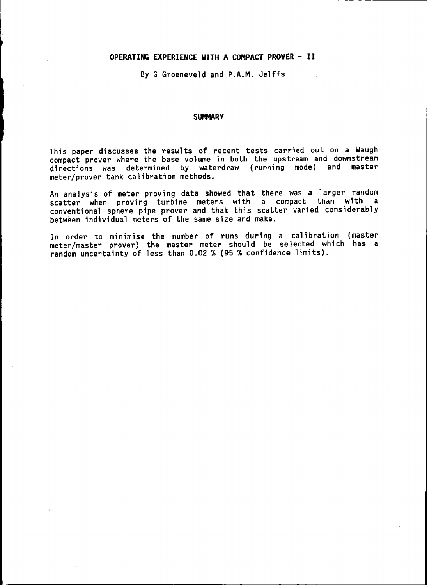## **OPERATING EXPERIENCE WITH A COMPACT PROVER - II**

By G Groeneveld and P.A.M. Jelffs

## **SUMMARY**

This paper discusses the results of recent tests carried out on a Waugh compact prover where the base volume in both the upstream and downstream directions was determined by waterdraw (running mode) and master meter/prover tank calibration methods.

An analysis of meter proving data showed that there was a larger random scatter when proving turbine meters with a compact than with a conventional sphere pipe prover and that this scatter varied considerably between individual meters of the same size and make.

In order to minimise the number of runs during a calibration (master meter/master prover) the master meter should be selected which has a random uncertainty of less than 0.02 % (95 % confidence limits).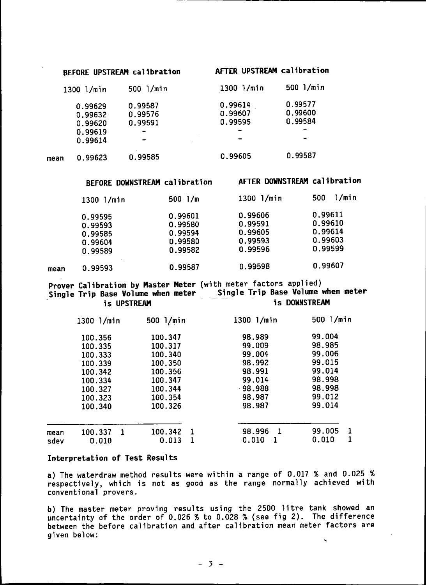## BEFORE UPSTREAM calibration AFTER UPSTREAM calibration

|         | 500 l/min                                              | 1300 l/min         | $500$ $1/m$ in           |
|---------|--------------------------------------------------------|--------------------|--------------------------|
|         |                                                        | 0.99614            | 0.99577                  |
|         |                                                        | 0.99607            | 0.99600                  |
|         | 0.99591                                                | 0.99595            | 0.99584                  |
|         | $\overline{\phantom{a}}$                               |                    | $\overline{\phantom{a}}$ |
| 0.99614 | -                                                      |                    | $\rightarrow$            |
| 0.99623 | 0.99585                                                | 0.99605            | 0.99587                  |
|         | 1300 l/min<br>0.99629<br>0.99632<br>0.99620<br>0.99619 | 0.99587<br>0.99576 |                          |

## BEFORE DOWNSTREAM calibration AFTER DOWNSTREAM calibration

|      | $1300$ $1/min$                                      | 500 $1/m$                                           | 1300 l/min                                          | l/min<br>500                                        |
|------|-----------------------------------------------------|-----------------------------------------------------|-----------------------------------------------------|-----------------------------------------------------|
|      | 0.99595<br>0.99593<br>0.99585<br>0.99604<br>0.99589 | 0.99601<br>0.99580<br>0.99594<br>0.99580<br>0.99582 | 0.99606<br>0.99591<br>0.99605<br>0.99593<br>0.99596 | 0.99611<br>0.99610<br>0.99614<br>0.99603<br>0.99599 |
| mean | 0.99593                                             | 0.99587                                             | 0.99598                                             | 0.99607                                             |

Prover Calibration by Master Meter (with meter factors applied) Single Trip Base Volume when meter Single Trip Base Volume when meter is UPSTREAM is DOWNSTREAM

|      | 1300 l/min    | 500 l/min |    | 1300 1/min   | 500 l/min |  |
|------|---------------|-----------|----|--------------|-----------|--|
|      | 100.356       | 100.347   |    | 98.989       | 99,004    |  |
|      | 100.335       | 100.317   |    | 99.009       | 98.985    |  |
|      | 100.333       | 100.340   |    | 99.004       | 99.006    |  |
|      | 100.339       | 100.350   |    | 98.992       | 99.015    |  |
|      | 100.342       | 100.356   |    | 98.991       | 99.014    |  |
|      | 100.334       | 100.347   |    | 99.014       | 98.998    |  |
|      | 100.327       | 100.344   |    | $-98.988$    | 98.998    |  |
|      | 100.323       | 100.354   |    | 98.987       | 99.012    |  |
|      | 100.340       | 100.326   |    | 98.987       | 99.014    |  |
|      |               |           |    |              |           |  |
| mean | -1<br>100.337 | 100.342   | -1 | 98.996<br>-1 | 99.005    |  |
| sdev | 0.010         | 0.013     |    | 0.010        | 0.010     |  |

## Interpretation of Test Results

a) The waterdraw method results were within a range of 0.017 % and 0.025 % respectively, which is not as good as the range normally achieved with conventional provers.

.. b) The master meter proving results using the 2500 litre tank showed an uncertainty of the order of 0.026 % to 0.028 % (see fig 2). The difference between the before calibration and after calibration mean meter factors are given below: .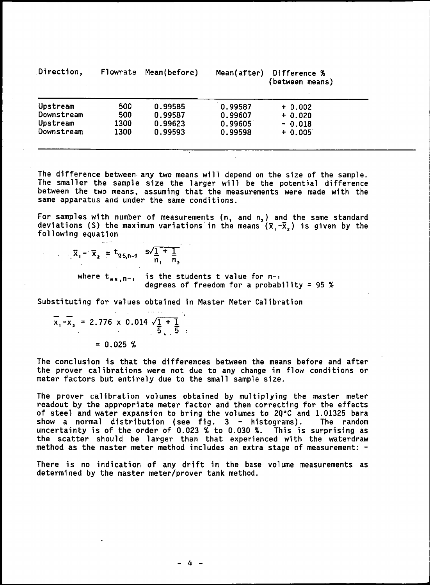| Direction, | Flowrate | Mean(before) | Mean(after) | Difference %<br>(between means) |
|------------|----------|--------------|-------------|---------------------------------|
| Upstream   | 500      | 0.99585      | 0.99587     | $+ 0.002$                       |
| Downstream | 500      | 0.99587      | 0.99607     | $+ 0.020$                       |
| Upstream   | 1300     | 0.99623      | 0.99605     | $-0.018$                        |
| Downstream | 1300     | 0.99593      | 0.99598     | $+ 0.005$                       |

The difference between, any two means will depend on the size of the sample. The smaller the sample size the larger will be the potential difference between the two means, assuming that the measurements were made with the same apparatus and under the same conditions.

For samples with number of measurements (n, and  $n_{\textsf{z}}$ ) and the same standard deviations (S) the maximum variations in the means  $(\bar{{\tt X}}_{{\tt I}}\text{-}\bar{{\tt X}}_{{\tt 2}})$  is given by the following equation

$$
\bar{x}_1 - \bar{x}_2 = t_{g_{5, n-1}} \cdot s\sqrt{\frac{1}{n_1} + \frac{1}{n_2}}
$$

where  $t_{ss,n-1}$  is the students t value for n-, degrees of freedom for a probability <sup>=</sup> 95 %

Substituting for values obtained in Master Meter Calibration

$$
\overline{x}_1 - \overline{x}_2 = 2.776 \times 0.014 \sqrt{\frac{1}{5} + \frac{1}{5}}
$$

 $= 0.025$  %

The conclusion is that the differences between the means before and after the prover cal ibrations were not due to any change in flow conditions or meter factors but entirely due to the small sample size.

The prover calibration volumes obtained by multiplying the master meter readout by the appropriate meter factor and then correcting for the effects of steel and water expansion to bring the volumes to 20 $^{\circ}$ C and 1.01325 bara show a normal distribution (see fig. 3 - histograms). The random uncertainty is of the order of 0.023 % to 0.030 %. This is surprising as the scatter should be larger than that experienced with the waterdraw method as the master meter method includes an extra stage of measurement: -

There is no indication of any drift in the base volume measurements as determined by the master meter/prover tank method.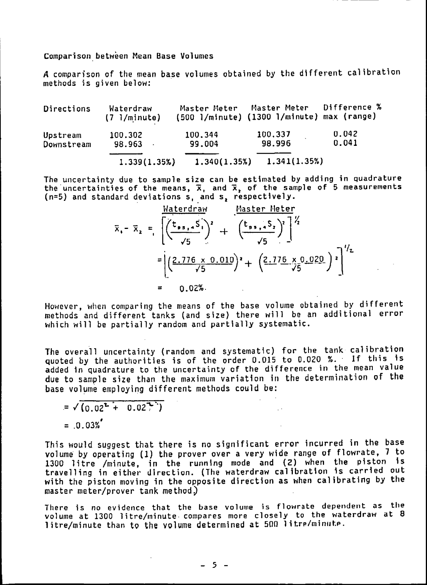Comparison. between Mean Base Volumes

A comparison of the mean base volumes obtained by the different calibration methods is given below:

Directions Waterdraw Master Meter Master Meter Difference % (7 l/minute) (500 l/minute) (1300 1/mi nute) max (range) Upstream 100.302 100.344 100.337 0.042 Downstream  $1.339(1.35%)$   $1.340(1.35%)$   $1.341(1.35%)$ 

The uncertainty due to sample size can be estimated by adding in quadrature the uncertainties of the means,  $\overline{\mathbf{x}}$ , and  $\overline{\mathbf{x}}$ , of the sample of 5 measurement (n=5) and standard deviations  ${\sf s}$ , and  ${\sf s}$ , respectively

$$
\bar{x}_{1} - \bar{x}_{2} = \left[ \frac{(\bar{t}_{9.5,1} \bar{S}_{1})^{2}}{\sqrt{5}} + \frac{(\bar{t}_{9.5,1} \bar{S}_{2})^{2}}{\sqrt{5}} \right]^{2}
$$

$$
= \left[ \frac{2.776 \times 0.010}{\sqrt{5}} \right]^{2} + \left( \frac{2.776 \times 0.020}{\sqrt{5}} \right)^{2} \Big]^{1/2}
$$

$$
= 0.02\%
$$

However, when comparing the means of the base volume obtained by different methods and different tanks (and size) there will be an additional error which will be partially random and partially systematic.

The overall uncertainty (random and systematic) for the tank calibration Quoted by the authorities is of the order 0.015 to 0.020 %.' If this is added 1n quadrature to the uncertainty of the difference in the mean value due to sample size than the maximum variation in the determination of the base volume employing different methods could be:

$$
= \sqrt{(0.02^{2} + 0.02^{2})}
$$
  
= .0.03%<sup>2</sup>

This would suggest that there is no significant error incurred in the base volume by operating (1) the prover over a very wide range of flowrate, 7 to 1300 litre /minute, in the running mode and (2) when the piston is travelling in either direction. (The waterdraw calibration is carried out with the piston moving in the opposite direction as when calibrating by the  $master$  meter/prover tank method.)

There is no evidence that the base volume is flowrate dependent as the volume at 1300 litre/minute· compares more closely to the waterdraw at B litre/minute than to the volume determined at 500 litre/minute.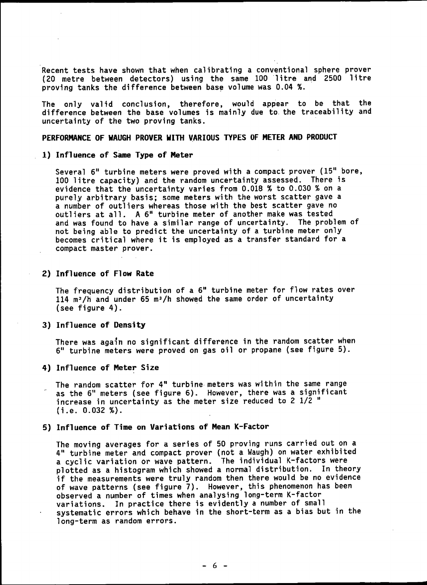Recent tests have shown that when calibrating a conventional sphere prover (20 metre between detectors) using the same 100 litre and 2500 litre proving tanks the difference between base volume was 0.04 %.

The only valid conclusion, therefore, would appear to be that the difference between the base volumes is mainly due to. the traceability and uncertainty of the two proving tanks.

## PERFORMANCE OF WAUGH PROVER WITH VARIOUS TYPES OF METER AND PRODUCT

## 1) Influence of Same Type of Meter

Several 6" turbine meters were proved with a compact prover (15" bore, 100 litre capacity) and the random uncertainty assessed. There is evidence that the uncertainty varies from 0.018 % to 0.030 % on <sup>a</sup> purely arbitrary basis; some meters with the worst scatter gave a a number of outliers whereas those with the best scatter gave no outliers at all. A 6" turbine meter of another make was tested and was found to have a similar range of uncertainty. The problem of not being able to predict the uncertainty of a turbine meter only becomes critical where it is employed as a transfer standard for a compact master prover.

## 2) Influence of Flow Rate

The frequency distribution of a 6" turbine meter for flow rates over 114 m<sup>3</sup>/h and under 65 m<sup>3</sup>/h showed the same order of uncertainty (see figure 4).

## 3) Influence of Density

There was again no significant difference in the random scatter when 6" turbine meters were proved on gas oil or propane (see figure 5).

## 4) Influence of Meter Size

The random scatter for 4" turbine· meters was within the same range as the 6" meters (see figure 6). However, there was a significant increase in uncertainty as the meter size reduced to 2  $1/2$  " (i.e. 0.032 %).

## 5) Influence of Time on Variations of Mean K-Factor

The moving averages for a series of 50 proving runs carried out on a 4" turbine meter and compact prover (not a Waugh) on water exhibited a cyclic variation or wave pattern. The individual K-factors were plotted as a histogram which showed a normal distribution. In theory if the measurements were truly random then there would be no evidence of wave patterns (see figure 7). However, this phenomenon has been observed a number of times when analysing long-term K-factor variations. In practice there is evidently a number of small systematic errors which behave in the short-term as a bias but in the long-term as random errors.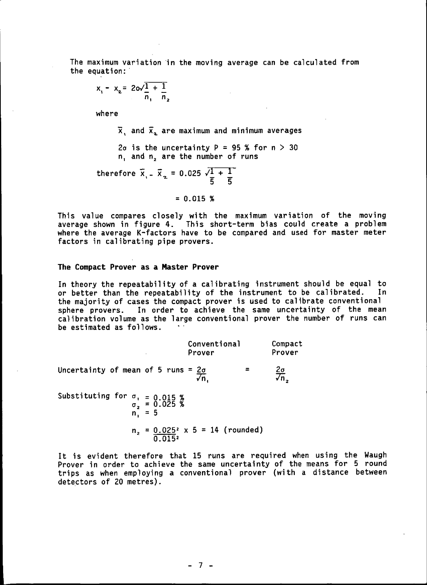The maximum variation in the moving average can be calculated from the equation:

$$
x_1 - x_2 = 20\sqrt{\frac{1}{n_1} + \frac{1}{n_2}}
$$

where

 $\overline{x}$ , and  $\overline{x}_2$  are maximum and minimum averages

2 $\sigma$  is the uncertainty P = 95 % for  $n > 30$ n. and n<sup>2</sup> are the number of runs

therefore  $\bar{x}_{1}$  =  $\bar{x}_{2}$  = 0.025  $\sqrt{1+1}$ "5 '5

 $= 0.015$  %

This value compares closely with the maximum variation of the moving average shown in figure 4. This short-term bias could create a problem where the average K-factors have to be compared and used for master meter factors in calibrating pipe provers.

## The Compact Prover as a Master Prover

In theory the repeatability of a calibrating instrument should be equal to or better than the repeatability of the instrument to be calibrated. In the majority of cases the compact prover is used to calibrate conventional sphere provers. In order to achieve the same uncertainty of the mean calibration volume as the large conventional prover the number of runs can be estimated as follows.

|                                                                            | Conventional<br>Prover                        | Compact<br>Prover          |
|----------------------------------------------------------------------------|-----------------------------------------------|----------------------------|
| Uncertainty of mean of 5 runs = $2\sigma$                                  | $\sqrt{n}$ .                                  | $\frac{2\sigma}{\sqrt{n}}$ |
| Substituting for $\sigma_1 = 0.015$ %<br>$\sigma_2 = 0.025$ %<br>$n_1 = 5$ |                                               |                            |
|                                                                            | $n_2$ = 0.025 <sup>2</sup> x 5 = 14 (rounded) |                            |

$$
\overline{0.015}^2
$$

It is evident therefore that 15 runs are required when using the Waugh Prover in order to achieve the same uncertainty of the means for 5 round trips as when employing a conventional prover (with a distance between detectors of 20 metres).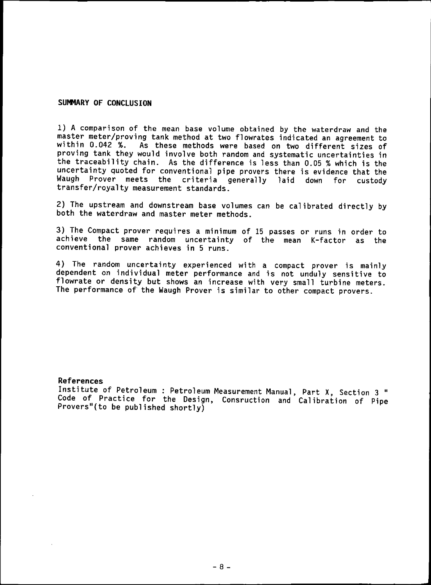## SUMMARY OF CONCLUSION

1) A comparison of the mean base volume obtained by the waterdraw and the master meter/proving tank method at two flowrates indicated an agreement to<br>within 0.042 %, As these methods were based on two different sizes of As these methods were based on two different sizes of proving tank they would involve both random and systematic uncertainties in the traceability chain. As the difference is less than 0.05 % which is the uncertainty quoted for conventional pipe provers there is evidence that the Waugh Prover meets the criteria generally laid down for custody transfer/royalty measurement standards.

2) The upstream and downstream base volumes can be calibrated directly by both the waterdraw and master meter methods.

3) The Compact prover requires a minimum of 15 passes or runs in order to achieve the same random uncertainty of the mean K-factor as the conventional prover achieves in 5 runs.

4) The random uncertainty experienced with <sup>a</sup> compact prover i<sup>s</sup> mainly dependent on individual meter performance and is not unduly sensitive to flowrate or density but shows an increase with very small turbine meters. The performance of the Waugh Prover is similar to other compact provers.

## References

Institute of Petroleum: Petroleum Measurement Manual, Part X, Section 3 " Code of Practice for the Design, Consruction and Calibration of Pipe Provers"(to be published shortly)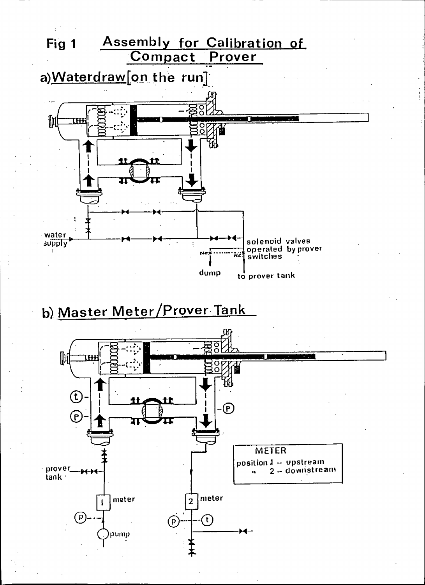

b) Master Meter/Prover Tank

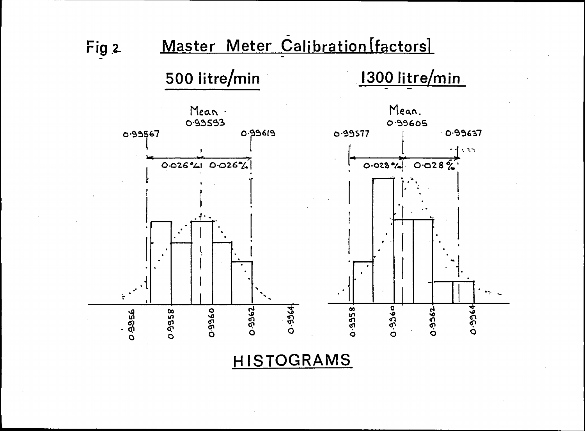

**HISTOGRAMS**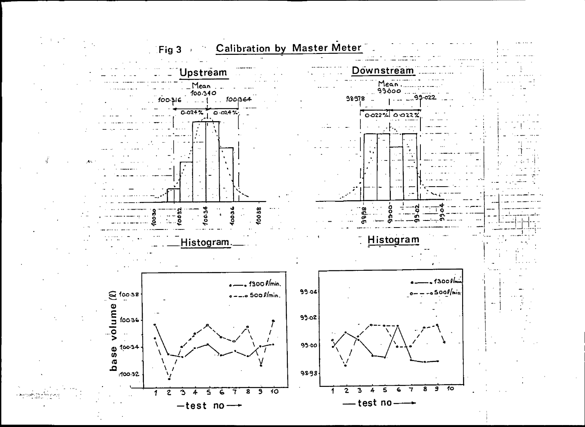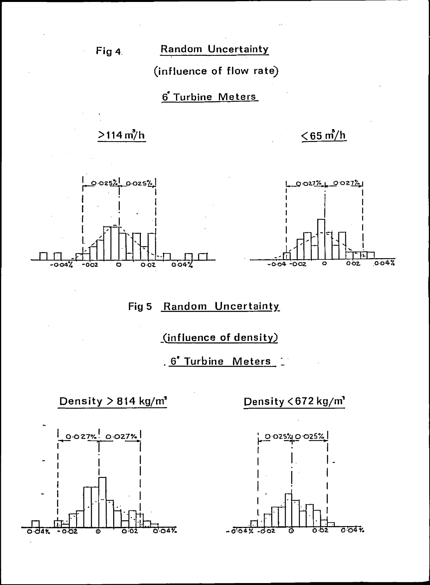Fig 4

Random Uncertainty

(influence of flow rate)

6 Turbine Meters

# $>114 \text{ m}^3/\text{h}$

 $\leq$  65 m/h



Fig 5 Random Uncertainty

(influence of density)

. 6' Turbine Meters



Density <672 kg/m'